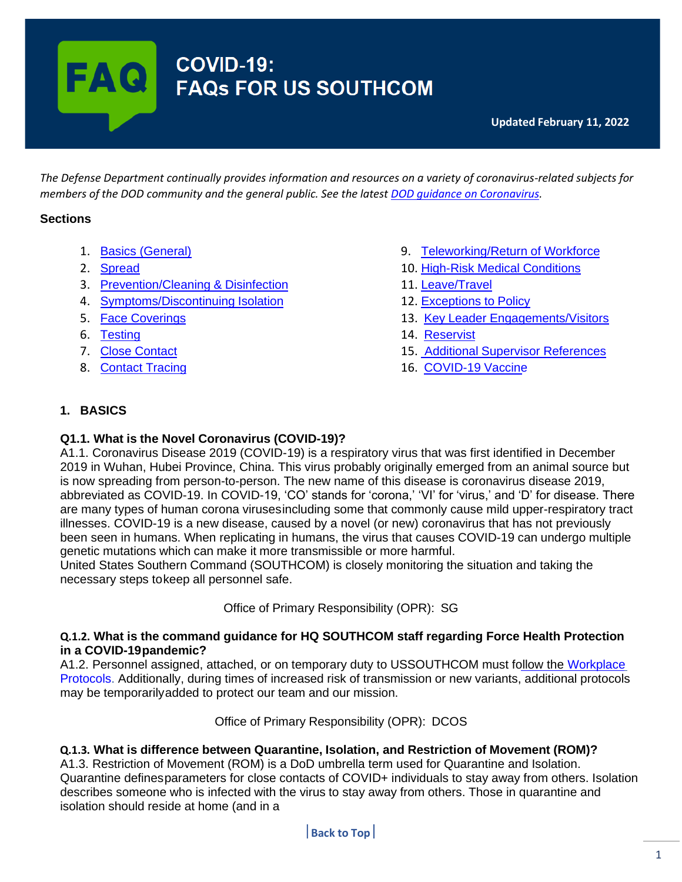# **FAQ** COVID-19:<br>FAQs FOR US SOUTHCOM

<span id="page-0-0"></span>*The Defense Department continually provides information and resources on a variety of coronavirus-related subjects for members of the DOD community and the general public. See the latest [DOD guidance](https://www.defense.gov/Explore/Spotlight/Coronavirus/Latest-DOD-Guidance/) on Coronavirus.*

## **Sections**

- 1. Basics [\(General\)](#page-0-1)
- 2. [Spread](#page-1-0)
- 3. [Prevention/Cleaning](#page-1-1) & Disinfection
- 4. [Symptoms/Discontinuing](#page-2-0) Isolation
- 5. Face [Coverings](#page-3-0)
- 6. [Testing](#page-4-0)
- 7. Close [Contact](#page-6-0)
- 8. [Contact](#page-7-0) Tracing
- 9. [Teleworking/Return](#page-7-1) of Workforce
- 10. High-Risk Medical [Conditions](#page-8-0)
- 11. [Leave/Travel](#page-8-1)
- 12. [Exceptions](#page-9-0) to Policy
- 13. Key Leader [Engagements/Visitors](#page-9-1)
- 14. [Reservist](#page-10-0)
- 15. Additional Supervisor [References](#page-11-0)
- 16. [COVID-19](#page-11-1) Vaccine

## <span id="page-0-1"></span>**1. BASICS**

#### **Q1.1. What is the Novel Coronavirus (COVID-19)?**

A1.1. Coronavirus Disease 2019 (COVID-19) is a respiratory virus that was first identified in December 2019 in Wuhan, Hubei Province, China. This virus probably originally emerged from an animal source but is now spreading from person-to-person. The new name of this disease is coronavirus disease 2019, abbreviated as COVID-19. In COVID-19, 'CO' stands for 'corona,' 'VI' for 'virus,' and 'D' for disease. There are many types of human corona virusesincluding some that commonly cause mild upper-respiratory tract illnesses. COVID-19 is a new disease, caused by a novel (or new) coronavirus that has not previously been seen in humans. When replicating in humans, the virus that causes COVID-19 can undergo multiple genetic mutations which can make it more transmissible or more harmful.

United States Southern Command (SOUTHCOM) is closely monitoring the situation and taking the necessary steps tokeep all personnel safe.

Office of Primary Responsibility (OPR): SG

#### **Q.1.2. What is the command guidance for HQ SOUTHCOM staff regarding Force Health Protection in a COVID-19pandemic?**

A1.2. Personnel assigned, attached, or on temporary duty to USSOUTHCOM must follow the [Workplace](https://www.southcom.mil/Portals/7/Documents/Workplace%20Protocols%204%20Nov.pdf)  [Protocols.](https://www.southcom.mil/Portals/7/Documents/Workplace%20Protocols%204%20Nov.pdf) Additionally, during times of increased risk of transmission or new variants, additional protocols may be temporarilyadded to protect our team and our mission.

Office of Primary Responsibility (OPR): DCOS

#### **Q.1.3. What is difference between Quarantine, Isolation, and Restriction of Movement (ROM)?**

A1.3. Restriction of Movement (ROM) is a DoD umbrella term used for Quarantine and Isolation. Quarantine definesparameters for close contacts of COVID+ individuals to stay away from others. Isolation describes someone who is infected with the virus to stay away from others. Those in quarantine and isolation should reside at home (and in a

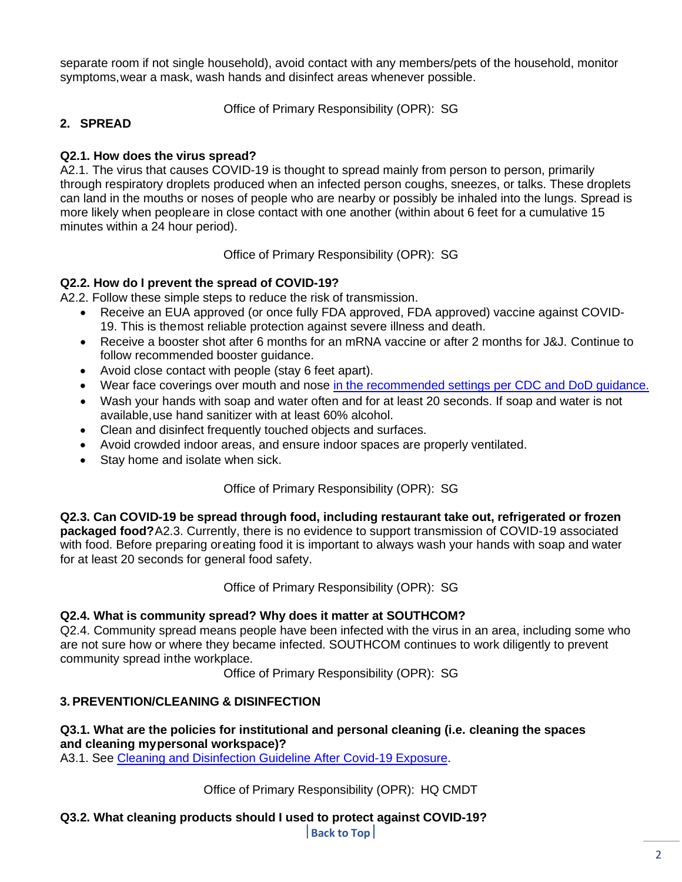separate room if not single household), avoid contact with any members/pets of the household, monitor symptoms,wear a mask, wash hands and disinfect areas whenever possible.

Office of Primary Responsibility (OPR): SG

## <span id="page-1-0"></span>**2. SPREAD**

## **Q2.1. How does the virus spread?**

A2.1. The virus that causes COVID-19 is thought to spread mainly from person to person, primarily through respiratory droplets produced when an infected person coughs, sneezes, or talks. These droplets can land in the mouths or noses of people who are nearby or possibly be inhaled into the lungs. Spread is more likely when peopleare in close contact with one another (within about 6 feet for a cumulative 15 minutes within a 24 hour period).

Office of Primary Responsibility (OPR): SG

## **Q2.2. How do I prevent the spread of COVID-19?**

A2.2. Follow these simple steps to reduce the risk of transmission.

- Receive an EUA approved (or once fully FDA approved, FDA approved) vaccine against COVID-19. This is themost reliable protection against severe illness and death.
- Receive a booster shot after 6 months for an mRNA vaccine or after 2 months for J&J. Continue to follow recommended booster guidance.
- Avoid close contact with people (stay 6 feet apart).
- Wear face coverings over mouth and nose in [the recommended](https://www.cdc.gov/coronavirus/2019-ncov/prevent-getting-sick/how-to-wear-cloth-face-coverings.html#%3A~%3Atext%3DWear%20a%20mask%20over%20your%2Cdon%27t%20live%20with%20you) settings per CDC and DoD guidance.
- Wash your hands with soap and water often and for at least 20 seconds. If soap and water is not available,use hand sanitizer with at least 60% alcohol.
- Clean and disinfect frequently touched objects and surfaces.
- Avoid crowded indoor areas, and ensure indoor spaces are properly ventilated.
- Stay home and isolate when sick.

Office of Primary Responsibility (OPR): SG

**Q2.3. Can COVID-19 be spread through food, including restaurant take out, refrigerated or frozen packaged food?**A2.3. Currently, there is no evidence to support transmission of COVID-19 associated with food. Before preparing oreating food it is important to always wash your hands with soap and water for at least 20 seconds for general food safety.

Office of Primary Responsibility (OPR): SG

## **Q2.4. What is community spread? Why does it matter at SOUTHCOM?**

Q2.4. Community spread means people have been infected with the virus in an area, including some who are not sure how or where they became infected. SOUTHCOM continues to work diligently to prevent community spread inthe workplace.

Office of Primary Responsibility (OPR): SG

## <span id="page-1-1"></span>**3. PREVENTION/CLEANING & DISINFECTION**

#### **Q3.1. What are the policies for institutional and personal cleaning (i.e. cleaning the spaces and cleaning mypersonal workspace)?**

A3.1. See Cleaning and Disinfection [Guideline After](https://www.southcom.mil/Portals/7/Documents/USSOUTHCOM%20HQ%20Guidance%20for%20Cleaning%20and%20Disinfection%20after%20COVID-19%20Exposure_%20as%20of%20_07312020.pdf?ver=2020-08-03-113453-740) Covid-19 Exposure.

Office of Primary Responsibility (OPR): HQ CMDT

**Q3.2. What cleaning products should I used to protect against COVID-19?**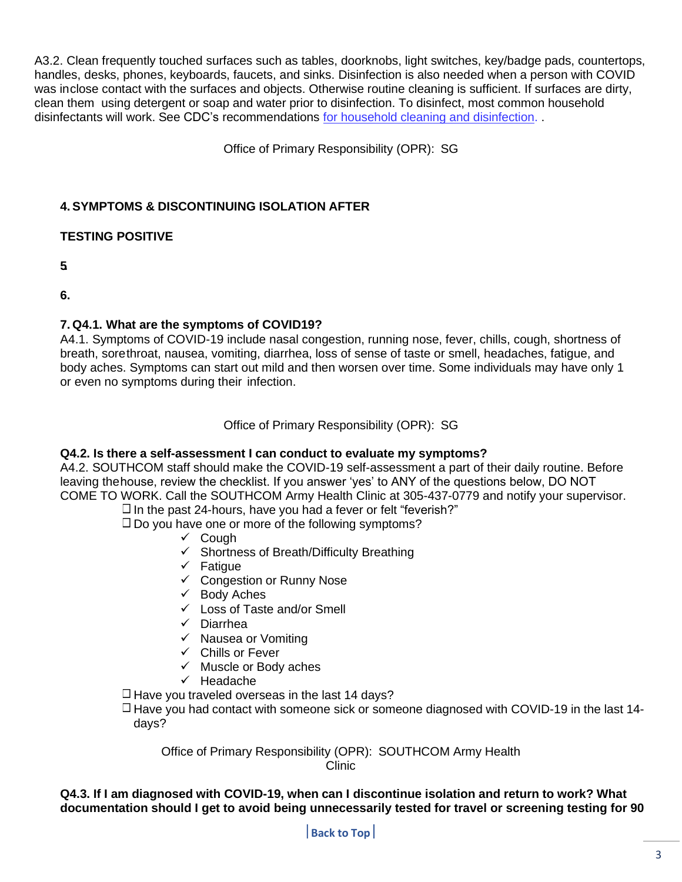A3.2. Clean frequently touched surfaces such as tables, doorknobs, light switches, key/badge pads, countertops, handles, desks, phones, keyboards, faucets, and sinks. Disinfection is also needed when a person with COVID was inclose contact with the surfaces and objects. Otherwise routine cleaning is sufficient. If surfaces are dirty, clean them using detergent or soap and water prior to disinfection. To disinfect, most common household disinfectants will work. See CDC's recommendations for household cleaning and [disinfection.](https://www.cdc.gov/coronavirus/2019-ncov/prevent-getting-sick/cleaning-disinfection.html) .

Office of Primary Responsibility (OPR): SG

## <span id="page-2-0"></span>**4. SYMPTOMS & DISCONTINUING ISOLATION AFTER**

## **TESTING POSITIVE**

**5.**

**6.**

## **7. Q4.1. What are the symptoms of COVID19?**

A4.1. Symptoms of COVID-19 include nasal congestion, running nose, fever, chills, cough, shortness of breath, sorethroat, nausea, vomiting, diarrhea, loss of sense of taste or smell, headaches, fatigue, and body aches. Symptoms can start out mild and then worsen over time. Some individuals may have only 1 or even no symptoms during their infection.

Office of Primary Responsibility (OPR): SG

## **Q4.2. Is there a self-assessment I can conduct to evaluate my symptoms?**

A4.2. SOUTHCOM staff should make the COVID-19 self-assessment a part of their daily routine. Before leaving thehouse, review the checklist. If you answer 'yes' to ANY of the questions below, DO NOT COME TO WORK. Call the SOUTHCOM Army Health Clinic at 305-437-0779 and notify your supervisor.

 $\Box$  In the past 24-hours, have you had a fever or felt "feverish?"

 $\Box$  Do you have one or more of the following symptoms?

- ✓ Cough
- ✓ Shortness of Breath/Difficulty Breathing
- ✓ Fatigue
- ✓ Congestion or Runny Nose
- ✓ Body Aches
- ✓ Loss of Taste and/or Smell
- ✓ Diarrhea
- ✓ Nausea or Vomiting
- ✓ Chills or Fever
- $\checkmark$  Muscle or Body aches
- ✓ Headache

 $\Box$  Have you traveled overseas in the last 14 days?

 $\Box$  Have you had contact with someone sick or someone diagnosed with COVID-19 in the last 14days?

Office of Primary Responsibility (OPR): SOUTHCOM Army Health Clinic

**Q4.3. If I am diagnosed with COVID-19, when can I discontinue isolation and return to work? What documentation should I get to avoid being unnecessarily tested for travel or screening testing for 90**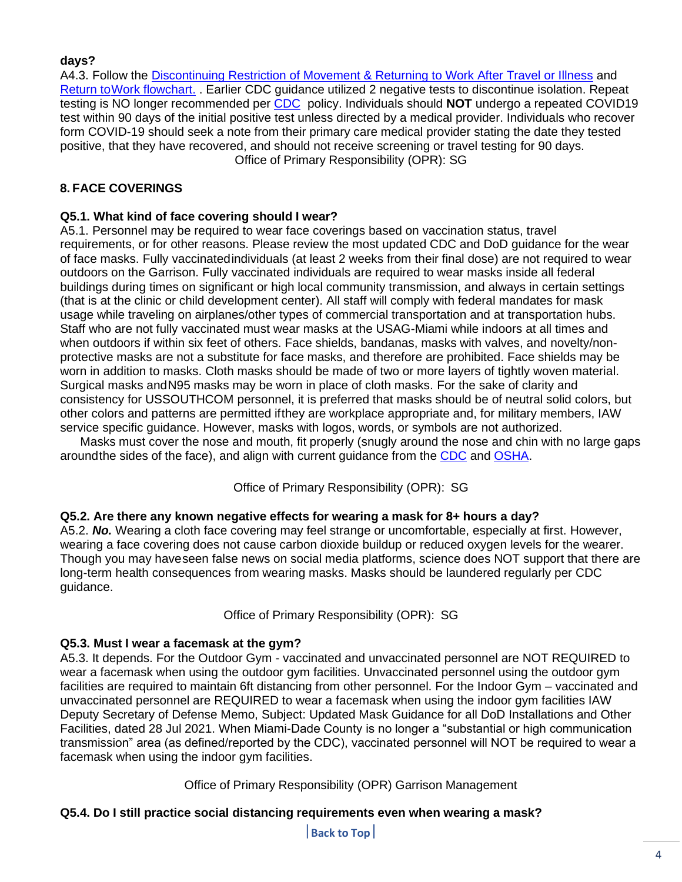## **days?**

A4.3. Follow the [Discontinuing Restriction of Movement & Returning to Work After Travel or Illness](https://www.southcom.mil/Portals/7/Documents/SOUTHCOM%20Return%20to%20Work%20Guidance_(updated%204%20Aug%202020).pdf?ver=y3oq1jQt6xSZ7-yR3ukFIw%3d%3d) and [Return toWork flowchart.](https://www.southcom.mil/Portals/7/Documents/ReturnToWork_Flowcharts_SOUTHCOM.pdf?ver=M9fDpUMzKG7w0QHqYsF9TA%3d%3d) . Earlier CDC guidance utilized 2 negative tests to discontinue isolation. Repeat testing is NO longer recommended per [CDC](https://www.cdc.gov/coronavirus/2019-ncov/hcp/disposition-in-home-patients.html) policy. Individuals should **NOT** undergo a repeated COVID19 test within 90 days of the initial positive test unless directed by a medical provider. Individuals who recover form COVID-19 should seek a note from their primary care medical provider stating the date they tested positive, that they have recovered, and should not receive screening or travel testing for 90 days. Office of Primary Responsibility (OPR): SG

## <span id="page-3-0"></span>**8. FACE COVERINGS**

## **Q5.1. What kind of face covering should I wear?**

A5.1. Personnel may be required to wear face coverings based on vaccination status, travel requirements, or for other reasons. Please review the most updated CDC and DoD guidance for the wear of face masks. Fully vaccinatedindividuals (at least 2 weeks from their final dose) are not required to wear outdoors on the Garrison. Fully vaccinated individuals are required to wear masks inside all federal buildings during times on significant or high local community transmission, and always in certain settings (that is at the clinic or child development center). All staff will comply with federal mandates for mask usage while traveling on airplanes/other types of commercial transportation and at transportation hubs. Staff who are not fully vaccinated must wear masks at the USAG-Miami while indoors at all times and when outdoors if within six feet of others. Face shields, bandanas, masks with valves, and novelty/nonprotective masks are not a substitute for face masks, and therefore are prohibited. Face shields may be worn in addition to masks. Cloth masks should be made of two or more layers of tightly woven material. Surgical masks andN95 masks may be worn in place of cloth masks. For the sake of clarity and consistency for USSOUTHCOM personnel, it is preferred that masks should be of neutral solid colors, but other colors and patterns are permitted ifthey are workplace appropriate and, for military members, IAW service specific guidance. However, masks with logos, words, or symbols are not authorized.

Masks must cover the nose and mouth, fit properly (snugly around the nose and chin with no large gaps aroundthe sides of the face), and align with current guidance from the [CDC](https://www.cdc.gov/coronavirus/2019-ncov/prevent-getting-sick/diy-cloth-face-coverings.html) and [OSHA.](https://www.osha.gov/coronavirus/safework#what-workers-need-to-know)

Office of Primary Responsibility (OPR): SG

## **Q5.2. Are there any known negative effects for wearing a mask for 8+ hours a day?**

A5.2. *No.* Wearing a cloth face covering may feel strange or uncomfortable, especially at first. However, wearing a face covering does not cause carbon dioxide buildup or reduced oxygen levels for the wearer. Though you may haveseen false news on social media platforms, science does NOT support that there are long-term health consequences from wearing masks. Masks should be laundered regularly per CDC guidance.

Office of Primary Responsibility (OPR): SG

#### **Q5.3. Must I wear a facemask at the gym?**

A5.3. It depends. For the Outdoor Gym - vaccinated and unvaccinated personnel are NOT REQUIRED to wear a facemask when using the outdoor gym facilities. Unvaccinated personnel using the outdoor gym facilities are required to maintain 6ft distancing from other personnel. For the Indoor Gym – vaccinated and unvaccinated personnel are REQUIRED to wear a facemask when using the indoor gym facilities IAW Deputy Secretary of Defense Memo, Subject: Updated Mask Guidance for all DoD Installations and Other Facilities, dated 28 Jul 2021. When Miami-Dade County is no longer a "substantial or high communication transmission" area (as defined/reported by the CDC), vaccinated personnel will NOT be required to wear a facemask when using the indoor gym facilities.

Office of Primary Responsibility (OPR) Garrison Management

## **Q5.4. Do I still practice social distancing requirements even when wearing a mask?**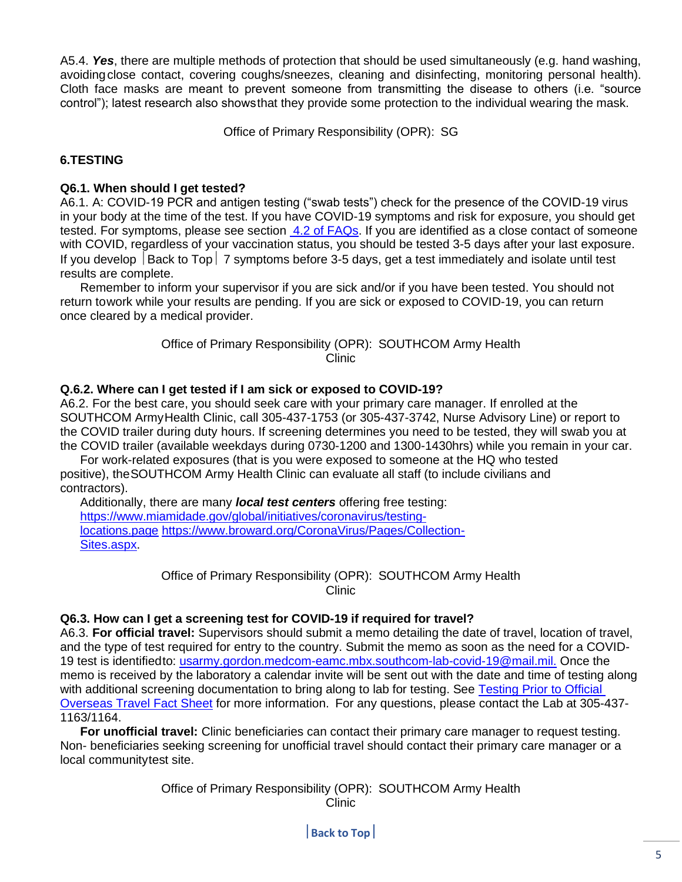A5.4. *Yes*, there are multiple methods of protection that should be used simultaneously (e.g. hand washing, avoidingclose contact, covering coughs/sneezes, cleaning and disinfecting, monitoring personal health). Cloth face masks are meant to prevent someone from transmitting the disease to others (i.e. "source control"); latest research also showsthat they provide some protection to the individual wearing the mask.

Office of Primary Responsibility (OPR): SG

## <span id="page-4-0"></span>**6.TESTING**

#### **Q6.1. When should I get tested?**

A6.1. A: COVID-19 PCR and antigen testing ("swab tests") check for the presence of the COVID-19 virus in your body at the time of the test. If you have COVID-19 symptoms and risk for exposure, you should get tested. For symptoms, please see section [4.2 of FAQs.](#page-2-0) If you are identified as a close contact of someone with COVID, regardless of your vaccination status, you should be tested 3-5 days after your last exposure. If you develop  $\vert$  Back to Top  $\vert$  7 symptoms before 3-5 days, get a test immediately and isolate until test results are complete.

Remember to inform your supervisor if you are sick and/or if you have been tested. You should not return towork while your results are pending. If you are sick or exposed to COVID-19, you can return once cleared by a medical provider.

> Office of Primary Responsibility (OPR): SOUTHCOM Army Health Clinic

#### **Q.6.2. Where can I get tested if I am sick or exposed to COVID-19?**

A6.2. For the best care, you should seek care with your primary care manager. If enrolled at the SOUTHCOM ArmyHealth Clinic, call 305-437-1753 (or 305-437-3742, Nurse Advisory Line) or report to the COVID trailer during duty hours. If screening determines you need to be tested, they will swab you at the COVID trailer (available weekdays during 0730-1200 and 1300-1430hrs) while you remain in your car.

For work-related exposures (that is you were exposed to someone at the HQ who tested positive), theSOUTHCOM Army Health Clinic can evaluate all staff (to include civilians and contractors).

Additionally, there are many *local test centers* offering free testing: [https://www.miamidade.gov/global/initiatives/coronavirus/testing](https://www.miamidade.gov/global/initiatives/coronavirus/testing-locations.page)[locations.page](https://www.miamidade.gov/global/initiatives/coronavirus/testing-locations.page) [https://www.broward.org/CoronaVirus/Pages/Collection-](https://www.broward.org/CoronaVirus/Pages/Collection-Sites.aspx)[Sites.aspx.](https://www.broward.org/CoronaVirus/Pages/Collection-Sites.aspx)

> Office of Primary Responsibility (OPR): SOUTHCOM Army Health Clinic

#### **Q6.3. How can I get a screening test for COVID-19 if required for travel?**

A6.3. **For official travel:** Supervisors should submit a memo detailing the date of travel, location of travel, and the type of test required for entry to the country. Submit the memo as soon as the need for a COVID-19 test is identifiedto: [usarmy.gordon.medcom-eamc.mbx.southcom-lab-covid-19@mail.mil.](mailto:usarmy.gordon.medcom-eamc.mbx.southcom-lab-covid-19@mail.mil) Once the memo is received by the laboratory a calendar invite will be sent out with the date and time of testing along with additional screening documentation to bring along to lab for testing. See [Testing Prior to Official](https://www.southcom.mil/Portals/7/Documents/USSOUTHCOM%20Fact%20Sheet%20-%20COVID%20Testing%20for%20OCONUS%20Official%20Travel%2028%20JAN.pdf?ver=ivy0YTdz-2cibJHzwMmiAA%3d%3d)  [Overseas Travel Fact Sheet](https://www.southcom.mil/Portals/7/Documents/USSOUTHCOM%20Fact%20Sheet%20-%20COVID%20Testing%20for%20OCONUS%20Official%20Travel%2028%20JAN.pdf?ver=ivy0YTdz-2cibJHzwMmiAA%3d%3d) for more information. For any questions, please contact the Lab at 305-437- 1163/1164.

**For unofficial travel:** Clinic beneficiaries can contact their primary care manager to request testing. Non- beneficiaries seeking screening for unofficial travel should contact their primary care manager or a local communitytest site.

> Office of Primary Responsibility (OPR): SOUTHCOM Army Health **Clinic**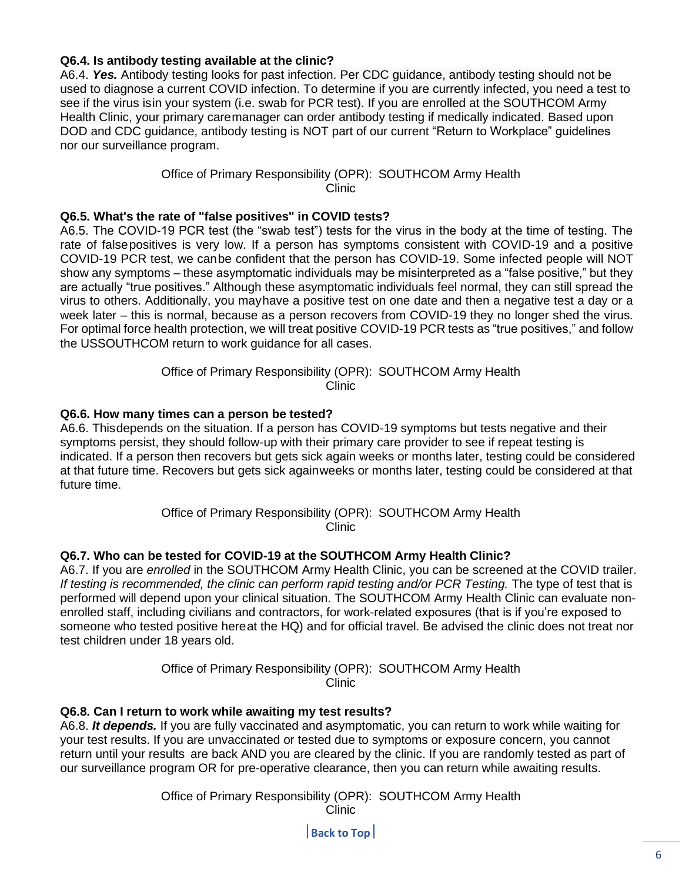## **Q6.4. Is antibody testing available at the clinic?**

A6.4. *Yes.* Antibody testing looks for past infection. Per CDC guidance, antibody testing should not be used to diagnose a current COVID infection. To determine if you are currently infected, you need a test to see if the virus isin your system (i.e. swab for PCR test). If you are enrolled at the SOUTHCOM Army Health Clinic, your primary caremanager can order antibody testing if medically indicated. Based upon DOD and CDC guidance, antibody testing is NOT part of our current "Return to Workplace" guidelines nor our surveillance program.

#### Office of Primary Responsibility (OPR): SOUTHCOM Army Health Clinic

#### **Q6.5. What's the rate of "false positives" in COVID tests?**

A6.5. The COVID-19 PCR test (the "swab test") tests for the virus in the body at the time of testing. The rate of falsepositives is very low. If a person has symptoms consistent with COVID-19 and a positive COVID-19 PCR test, we canbe confident that the person has COVID-19. Some infected people will NOT show any symptoms – these asymptomatic individuals may be misinterpreted as a "false positive," but they are actually "true positives." Although these asymptomatic individuals feel normal, they can still spread the virus to others. Additionally, you mayhave a positive test on one date and then a negative test a day or a week later – this is normal, because as a person recovers from COVID-19 they no longer shed the virus. For optimal force health protection, we will treat positive COVID-19 PCR tests as "true positives," and follow the USSOUTHCOM return to work guidance for all cases.

> Office of Primary Responsibility (OPR): SOUTHCOM Army Health Clinic

#### **Q6.6. How many times can a person be tested?**

A6.6. Thisdepends on the situation. If a person has COVID-19 symptoms but tests negative and their symptoms persist, they should follow-up with their primary care provider to see if repeat testing is indicated. If a person then recovers but gets sick again weeks or months later, testing could be considered at that future time. Recovers but gets sick againweeks or months later, testing could be considered at that future time.

> Office of Primary Responsibility (OPR): SOUTHCOM Army Health Clinic

#### **Q6.7. Who can be tested for COVID-19 at the SOUTHCOM Army Health Clinic?**

A6.7. If you are *enrolled* in the SOUTHCOM Army Health Clinic, you can be screened at the COVID trailer. *If testing is recommended, the clinic can perform rapid testing and/or PCR Testing.* The type of test that is performed will depend upon your clinical situation. The SOUTHCOM Army Health Clinic can evaluate nonenrolled staff, including civilians and contractors, for work-related exposures (that is if you're exposed to someone who tested positive hereat the HQ) and for official travel. Be advised the clinic does not treat nor test children under 18 years old.

> Office of Primary Responsibility (OPR): SOUTHCOM Army Health Clinic

#### **Q6.8. Can I return to work while awaiting my test results?**

A6.8. *It depends.* If you are fully vaccinated and asymptomatic, you can return to work while waiting for your test results. If you are unvaccinated or tested due to symptoms or exposure concern, you cannot return until your results are back AND you are cleared by the clinic. If you are randomly tested as part of our surveillance program OR for pre-operative clearance, then you can return while awaiting results.

> Office of Primary Responsibility (OPR): SOUTHCOM Army Health Clinic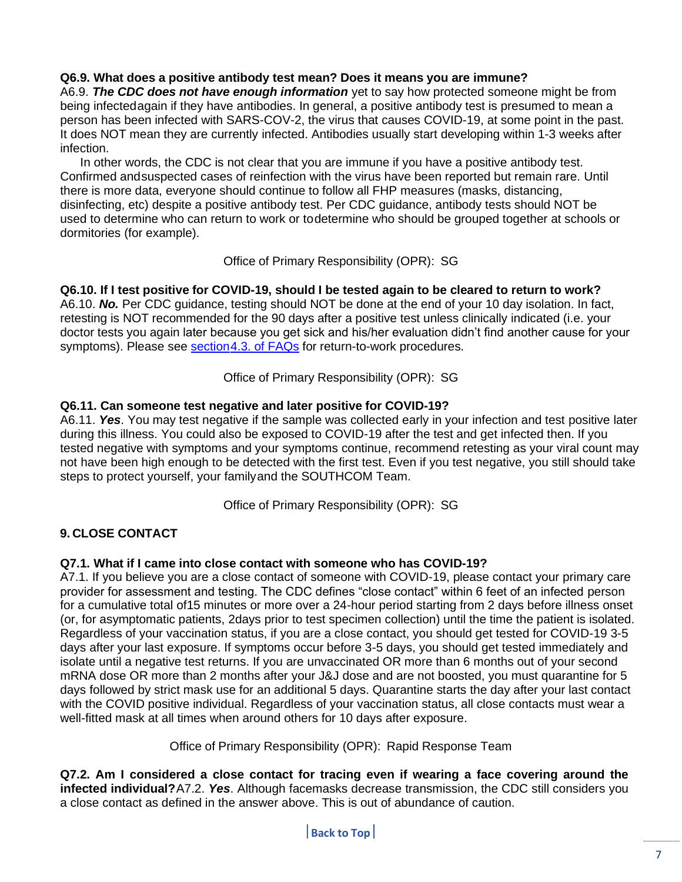## **Q6.9. What does a positive antibody test mean? Does it means you are immune?**

A6.9. *The CDC does not have enough information* yet to say how protected someone might be from being infectedagain if they have antibodies. In general, a positive antibody test is presumed to mean a person has been infected with SARS-COV-2, the virus that causes COVID-19, at some point in the past. It does NOT mean they are currently infected. Antibodies usually start developing within 1-3 weeks after infection.

In other words, the CDC is not clear that you are immune if you have a positive antibody test. Confirmed andsuspected cases of reinfection with the virus have been reported but remain rare. Until there is more data, everyone should continue to follow all FHP measures (masks, distancing, disinfecting, etc) despite a positive antibody test. Per CDC guidance, antibody tests should NOT be used to determine who can return to work or todetermine who should be grouped together at schools or dormitories (for example).

Office of Primary Responsibility (OPR): SG

## **Q6.10. If I test positive for COVID-19, should I be tested again to be cleared to return to work?**

A6.10. *No.* Per CDC guidance, testing should NOT be done at the end of your 10 day isolation. In fact, retesting is NOT recommended for the 90 days after a positive test unless clinically indicated (i.e. your doctor tests you again later because you get sick and his/her evaluation didn't find another cause for your symptoms). Please see **section 4.3. of [FAQs](#page-2-0)** for return-to-work procedures.

Office of Primary Responsibility (OPR): SG

## **Q6.11. Can someone test negative and later positive for COVID-19?**

A6.11. *Yes*. You may test negative if the sample was collected early in your infection and test positive later during this illness. You could also be exposed to COVID-19 after the test and get infected then. If you tested negative with symptoms and your symptoms continue, recommend retesting as your viral count may not have been high enough to be detected with the first test. Even if you test negative, you still should take steps to protect yourself, your familyand the SOUTHCOM Team.

Office of Primary Responsibility (OPR): SG

## <span id="page-6-0"></span>**9. CLOSE CONTACT**

## **Q7.1. What if I came into close contact with someone who has COVID-19?**

A7.1. If you believe you are a close contact of someone with COVID-19, please contact your primary care provider for assessment and testing. The CDC defines "close contact" within 6 feet of an infected person for a cumulative total of15 minutes or more over a 24-hour period starting from 2 days before illness onset (or, for asymptomatic patients, 2days prior to test specimen collection) until the time the patient is isolated. Regardless of your vaccination status, if you are a close contact, you should get tested for COVID-19 3-5 days after your last exposure. If symptoms occur before 3-5 days, you should get tested immediately and isolate until a negative test returns. If you are unvaccinated OR more than 6 months out of your second mRNA dose OR more than 2 months after your J&J dose and are not boosted, you must quarantine for 5 days followed by strict mask use for an additional 5 days. Quarantine starts the day after your last contact with the COVID positive individual. Regardless of your vaccination status, all close contacts must wear a well-fitted mask at all times when around others for 10 days after exposure.

Office of Primary Responsibility (OPR): Rapid Response Team

**Q7.2. Am I considered a close contact for tracing even if wearing a face covering around the infected individual?**A7.2. *Yes*. Although facemasks decrease transmission, the CDC still considers you a close contact as defined in the answer above. This is out of abundance of caution.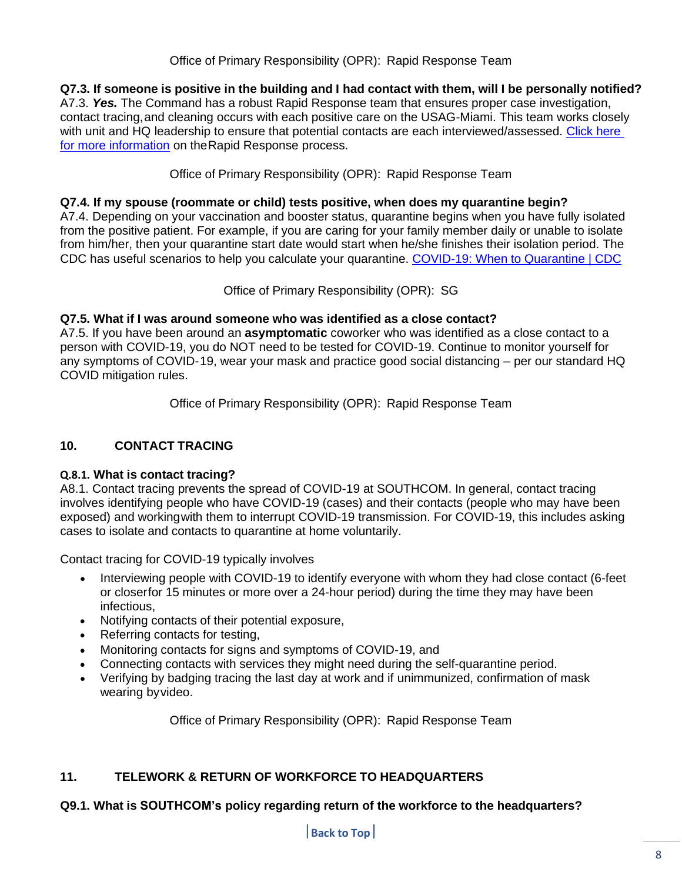## Office of Primary Responsibility (OPR): Rapid Response Team

**Q7.3. If someone is positive in the building and I had contact with them, will I be personally notified?**

A7.3. *Yes.* The Command has a robust Rapid Response team that ensures proper case investigation, contact tracing,and cleaning occurs with each positive care on the USAG-Miami. This team works closely with unit and HQ leadership to ensure that potential contacts are each interviewed/assessed. Click here [for more information](https://intranet.ent.southcom.mil/SitePages/Playbook.aspx) on theRapid Response process.

Office of Primary Responsibility (OPR): Rapid Response Team

## **Q7.4. If my spouse (roommate or child) tests positive, when does my quarantine begin?**

A7.4. Depending on your vaccination and booster status, quarantine begins when you have fully isolated from the positive patient. For example, if you are caring for your family member daily or unable to isolate from him/her, then your quarantine start date would start when he/she finishes their isolation period. The CDC has useful scenarios to help you calculate your quarantine. COVID-19: When [to Quarantine](https://www.cdc.gov/coronavirus/2019-ncov/if-you-are-sick/quarantine.html) | CDC

Office of Primary Responsibility (OPR): SG

## **Q7.5. What if I was around someone who was identified as a close contact?**

A7.5. If you have been around an **asymptomatic** coworker who was identified as a close contact to a person with COVID-19, you do NOT need to be tested for COVID-19. Continue to monitor yourself for any symptoms of COVID-19, wear your mask and practice good social distancing – per our standard HQ COVID mitigation rules.

Office of Primary Responsibility (OPR): Rapid Response Team

## <span id="page-7-0"></span>**10. CONTACT TRACING**

#### **Q.8.1. What is contact tracing?**

A8.1. Contact tracing prevents the spread of COVID-19 at SOUTHCOM. In general, contact tracing involves identifying people who have COVID-19 (cases) and their contacts (people who may have been exposed) and workingwith them to interrupt COVID-19 transmission. For COVID-19, this includes asking cases to isolate and contacts to quarantine at home voluntarily.

Contact tracing for COVID-19 typically involves

- Interviewing people with COVID-19 to identify everyone with whom they had close contact (6-feet or closerfor 15 minutes or more over a 24-hour period) during the time they may have been infectious,
- Notifying contacts of their potential exposure,
- Referring contacts for testing,
- Monitoring contacts for signs and symptoms of COVID-19, and
- Connecting contacts with services they might need during the self-quarantine period.
- Verifying by badging tracing the last day at work and if unimmunized, confirmation of mask wearing byvideo.

Office of Primary Responsibility (OPR): Rapid Response Team

## <span id="page-7-1"></span>**11. TELEWORK & RETURN OF WORKFORCE TO HEADQUARTERS**

## **Q9.1. What is SOUTHCOM's policy regarding return of the workforce to the headquarters?**

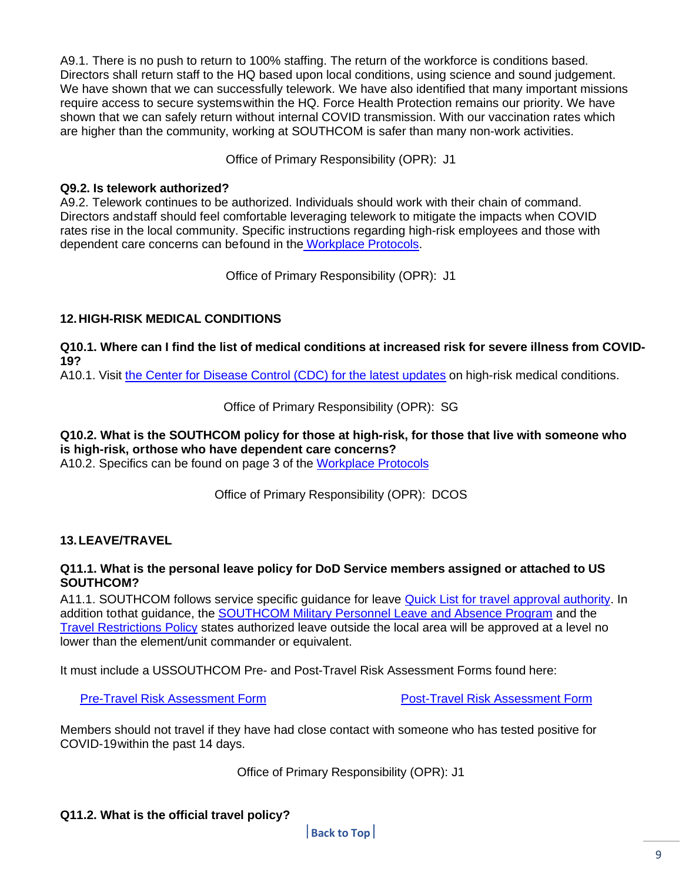A9.1. There is no push to return to 100% staffing. The return of the workforce is conditions based. Directors shall return staff to the HQ based upon local conditions, using science and sound judgement. We have shown that we can successfully telework. We have also identified that many important missions require access to secure systemswithin the HQ. Force Health Protection remains our priority. We have shown that we can safely return without internal COVID transmission. With our vaccination rates which are higher than the community, working at SOUTHCOM is safer than many non-work activities.

Office of Primary Responsibility (OPR): J1

#### **Q9.2. Is telework authorized?**

A9.2. Telework continues to be authorized. Individuals should work with their chain of command. Directors andstaff should feel comfortable leveraging telework to mitigate the impacts when COVID rates rise in the local community. Specific instructions regarding high-risk employees and those with dependent care concerns can befound in the [Workplace](https://www.southcom.mil/Portals/7/Documents/Workplace%20Protocols%204%20Nov.pdf) Protocols.

Office of Primary Responsibility (OPR): J1

## <span id="page-8-0"></span>**12.HIGH-RISK MEDICAL CONDITIONS**

Q10.1. Where can I find the list of medical conditions at increased risk for severe illness from COVID-**19?**

A10.1. Visit [the Center](https://www.cdc.gov/coronavirus/2019-ncov/need-extra-precautions/index.html) for Disease Control (CDC) for the latest updates on high-risk medical conditions.

Office of Primary Responsibility (OPR): SG

## **Q10.2. What is the SOUTHCOM policy for those at high-risk, for those that live with someone who is high-risk, orthose who have dependent care concerns?**

A10.2. Specifics can be found on page 3 of the [Workplace](https://www.southcom.mil/Portals/7/Documents/Workplace%20Protocols%204%20Nov.pdf) Protocols

Office of Primary Responsibility (OPR): DCOS

## <span id="page-8-1"></span>**13.LEAVE/TRAVEL**

#### **Q11.1. What is the personal leave policy for DoD Service members assigned or attached to US SOUTHCOM?**

A11.1. SOUTHCOM follows service specific guidance for leave [Quick List for travel approval authority.](https://intranet.ent.southcom.mil/_layouts/15/WopiFrame.aspx?sourcedoc=%7b02C8F825-FD7D-4ABA-B703-A7B5ACF1FF1A%7d&file=Quick%20List%20of%20Travel%20Authority%20Apr%2014.pdf&action=default) In addition tothat guidance, the [SOUTHCOM Military Personnel Leave and Absence Program](https://intranet.ent.southcom.mil/gal/Telework%20Portal/Shared%20Documents/Military%20Leave%20and%20Absence%20Policy%20dated%2029%20April%202019.pdf) and the [Travel Restrictions Policy](https://www.southcom.mil/Portals/7/Documents/SC_COVID_Travel_Guidance.pdf) states authorized leave outside the local area will be approved at a level no lower than the element/unit commander or equivalent.

It must include a USSOUTHCOM Pre- and Post-Travel Risk Assessment Forms found here:

Pre-Travel Risk [Assessment](https://www.southcom.mil/Portals/7/Documents/USSOUTHCOM%20HQ%20PostTravel%20Risk%20Assessment%20Fillable%20NOV.pdf?ver=PxARclMDauLvrrWfYN1Wrg%3d%3d) Form Post-Travel Risk Assessment Form

Members should not travel if they have had close contact with someone who has tested positive for COVID-19within the past 14 days.

Office of Primary Responsibility (OPR): J1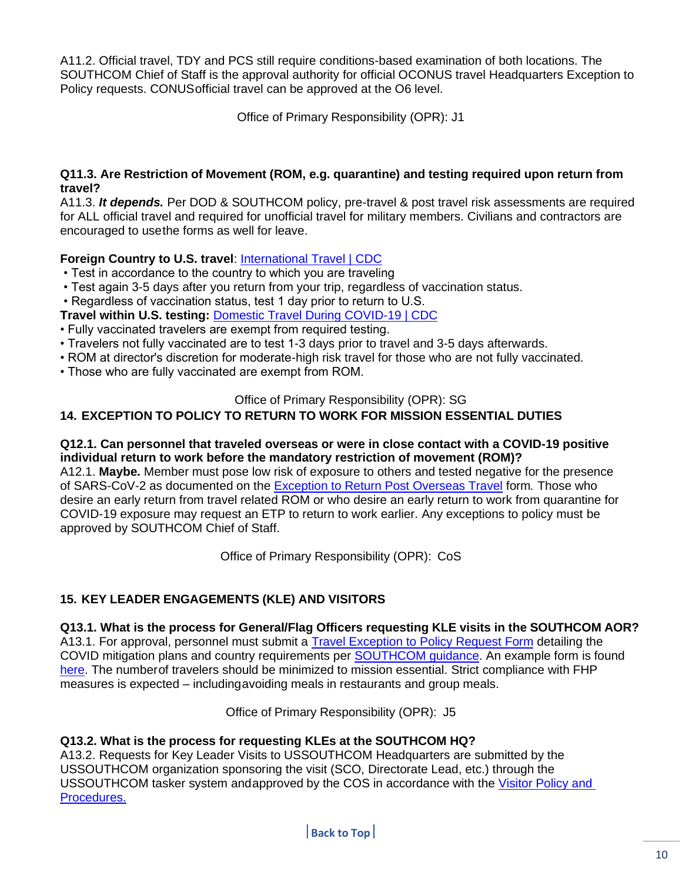A11.2. Official travel, TDY and PCS still require conditions-based examination of both locations. The SOUTHCOM Chief of Staff is the approval authority for official OCONUS travel Headquarters Exception to Policy requests. CONUSofficial travel can be approved at the O6 level.

Office of Primary Responsibility (OPR): J1

#### **Q11.3. Are Restriction of Movement (ROM, e.g. quarantine) and testing required upon return from travel?**

A11.3. *It depends.* Per DOD & SOUTHCOM policy, pre-travel & post travel risk assessments are required for ALL official travel and required for unofficial travel for military members. Civilians and contractors are encouraged to usethe forms as well for leave.

## **Foreign Country to U.S. travel**: [International Travel | CDC](https://www.cdc.gov/coronavirus/2019-ncov/travelers/international-travel-during-covid19.html)

- Test in accordance to the country to which you are traveling
- Test again 3-5 days after you return from your trip, regardless of vaccination status.
- Regardless of vaccination status, test 1 day prior to return to U.S.

**Travel within U.S. testing:** [Domestic Travel During COVID-19 | CDC](https://www.cdc.gov/coronavirus/2019-ncov/travelers/travel-during-covid19.html)

- Fully vaccinated travelers are exempt from required testing.
- Travelers not fully vaccinated are to test 1-3 days prior to travel and 3-5 days afterwards.
- ROM at director's discretion for moderate-high risk travel for those who are not fully vaccinated.
- Those who are fully vaccinated are exempt from ROM.

## Office of Primary Responsibility (OPR): SG

## <span id="page-9-0"></span>**14. EXCEPTION TO POLICY TO RETURN TO WORK FOR MISSION ESSENTIAL DUTIES**

#### **Q12.1. Can personnel that traveled overseas or were in close contact with a COVID-19 positive individual return to work before the mandatory restriction of movement (ROM)?**

A12.1. **Maybe.** Member must pose low risk of exposure to others and tested negative for the presence of SARS-CoV-2 as documented on the [Exception to Return Post Overseas Travel](https://www.southcom.mil/Portals/7/Documents/USSOUTHCOM%20MEMORANDUM%20Exception%20to%20Return%20Post%20Exposure.pdf) form*.* Those who desire an early return from travel related ROM or who desire an early return to work from quarantine for COVID-19 exposure may request an ETP to return to work earlier. Any exceptions to policy must be approved by SOUTHCOM Chief of Staff.

Office of Primary Responsibility (OPR): CoS

## <span id="page-9-1"></span>**15. KEY LEADER ENGAGEMENTS (KLE) AND VISITORS**

## **Q13.1. What is the process for General/Flag Officers requesting KLE visits in the SOUTHCOM AOR?**

A13.1. For approval, personnel must submit a **Travel Exception to Policy Request Form** detailing the COVID mitigation plans and country requirements per [SOUTHCOM guidance.](https://www.southcom.mil/Portals/7/Documents/Exception%20to%20Policy%20request%20for%20travel%20guidelines%20to%20or%20from%20Partner%20Nations%20during%20COVID-19%20Pandemic%20for%20Key%20Leader%20Engagements.pdf?ver=HxoHIxbDVTaMFYB1PSSsWg%3d%3d) An example form is found [here.](https://www.southcom.mil/Portals/7/Documents/SOUTHCOM%20KLE%20ETP%20Example%20as%20of%2023%20Nov.pdf?ver=_dmNd7ptDZBkTkCIqSmfqw%3d%3d) The numberof travelers should be minimized to mission essential. Strict compliance with FHP measures is expected – includingavoiding meals in restaurants and group meals.

Office of Primary Responsibility (OPR): J5

## **Q13.2. What is the process for requesting KLEs at the SOUTHCOM HQ?**

A13.2. Requests for Key Leader Visits to USSOUTHCOM Headquarters are submitted by the USSOUTHCOM organization sponsoring the visit (SCO, Directorate Lead, etc.) through the USSOUTHCOM tasker system andapproved by the COS in accordance with the Visitor [Policy and](https://www.southcom.mil/Portals/7/Documents/SC%20Visitor%20Policy_COS%20Signed%2010_26_2020.pdf?ver=SXOxJyqDf8nccrV04jhEgA%3d%3d) [Procedures.](https://www.southcom.mil/Portals/7/Documents/SC%20Visitor%20Policy_COS%20Signed%2010_26_2020.pdf?ver=SXOxJyqDf8nccrV04jhEgA%3d%3d)

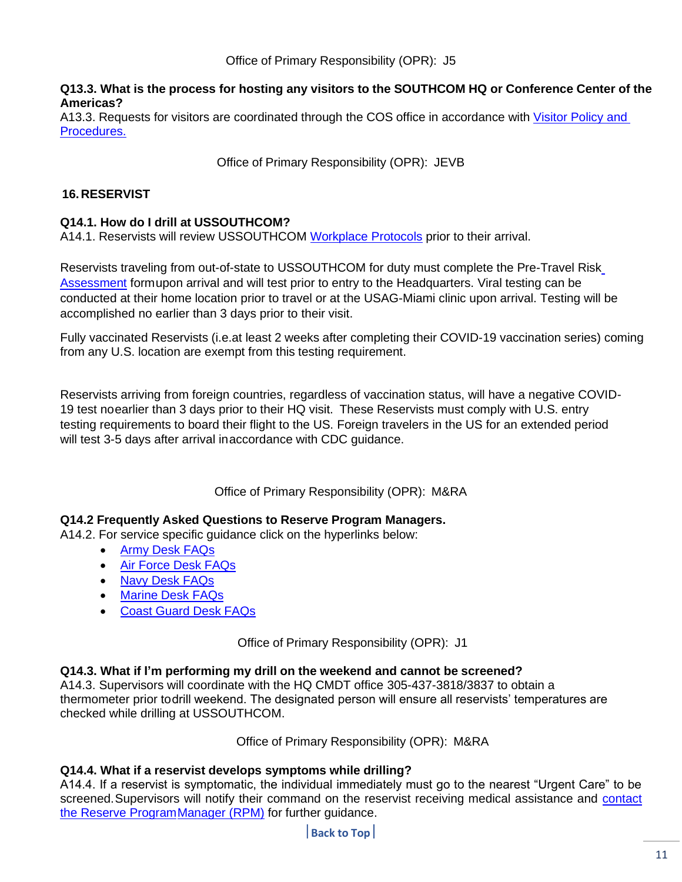#### **Q13.3. What is the process for hosting any visitors to the SOUTHCOM HQ or Conference Center of the Americas?**

A13.3. Requests for visitors are coordinated through the COS office in accordance with [Visitor](https://www.southcom.mil/Portals/7/Documents/SC%20Visitor%20Policy_COS%20Signed%2010_26_2020.pdf?ver=SXOxJyqDf8nccrV04jhEgA%3d%3d) Policy and [Procedures.](https://www.southcom.mil/Portals/7/Documents/SC%20Visitor%20Policy_COS%20Signed%2010_26_2020.pdf?ver=SXOxJyqDf8nccrV04jhEgA%3d%3d)

Office of Primary Responsibility (OPR): JEVB

## <span id="page-10-0"></span>**16.RESERVIST**

## **Q14.1. How do I drill at USSOUTHCOM?**

A14.1. Reservists will review USSOUTHCOM [Workplace](https://www.southcom.mil/Portals/7/Documents/Workplace%20Protocols%204%20Nov.pdf?ver=JYa4jkEv_pYOIi3be5kHTA%3d%3d) Protocols prior to their arrival.

Reservists traveling from out-of-state to USSOUTHCOM for duty must complete the Pre-Travel Risk Assessment formupon arrival and will test prior to entry to the Headquarters. Viral testing can be conducted at their home location prior to travel or at the USAG-Miami clinic upon arrival. Testing will be accomplished no earlier than 3 days prior to their visit.

Fully vaccinated Reservists (i.e.at least 2 weeks after completing their COVID-19 vaccination series) coming from any U.S. location are exempt from this testing requirement.

Reservists arriving from foreign countries, regardless of vaccination status, will have a negative COVID-19 test noearlier than 3 days prior to their HQ visit. These Reservists must comply with U.S. entry testing requirements to board their flight to the US. Foreign travelers in the US for an extended period will test 3-5 days after arrival inaccordance with CDC guidance.

Office of Primary Responsibility (OPR): M&RA

#### **Q14.2 Frequently Asked Questions to Reserve Program Managers.**

A14.2. For service specific guidance click on the hyperlinks below:

- Army Desk [FAQs](https://www.southcom.mil/Portals/7/Documents/Army-Frequently%20Asked%20Questions.pdf?ver=k58djmz50i-pf2bGh7GO0g%3d%3d×tamp=1604700804989)
- Air [Force](https://www.southcom.mil/Portals/7/Documents/USSOUTHCOM%20FAQs_AFR%20as%20of%2013%20NOV%2020.pdf) Desk FAQs
- Navy Desk [FAQs](https://www.southcom.mil/Portals/7/Documents/Navy-%20Frequently%20Asked%20Questions.pdf?ver=2N4Hak5AYorovgKlqn-uTA%3d%3d×tamp=1604700859717)
- [Marine](https://www.southcom.mil/Portals/7/Documents/Marine-Frequently%20Asked%20Questions.pdf?ver=pHScqSqEqWnN94oNLm2F_g%3d%3d×tamp=1604700903338) Desk FAQs
- Coast [Guard](https://www.uscg.mil/Coronavirus/FAQ/) Desk FAQs

Office of Primary Responsibility (OPR): J1

#### **Q14.3. What if I'm performing my drill on the weekend and cannot be screened?**

A14.3. Supervisors will coordinate with the HQ CMDT office 305-437-3818/3837 to obtain a thermometer prior todrill weekend. The designated person will ensure all reservists' temperatures are checked while drilling at USSOUTHCOM.

Office of Primary Responsibility (OPR): M&RA

#### **Q14.4. What if a reservist develops symptoms while drilling?**

A14.4. If a reservist is symptomatic, the individual immediately must go to the nearest "Urgent Care" to be screened. Supervisors will notify their command on the reservist receiving medical assistance and contact [the Reserve ProgramManager](https://intranet.ent.southcom.mil/_layouts/15/WopiFrame2.aspx?sourcedoc=%7B676B9D85-D3EA-4A79-B493-98340B482B21%7D&file=List%20of%20URCs%20USSOUTHCOM%20(3%20NOV%2020).pdf&action=default) (RPM) for further guidance.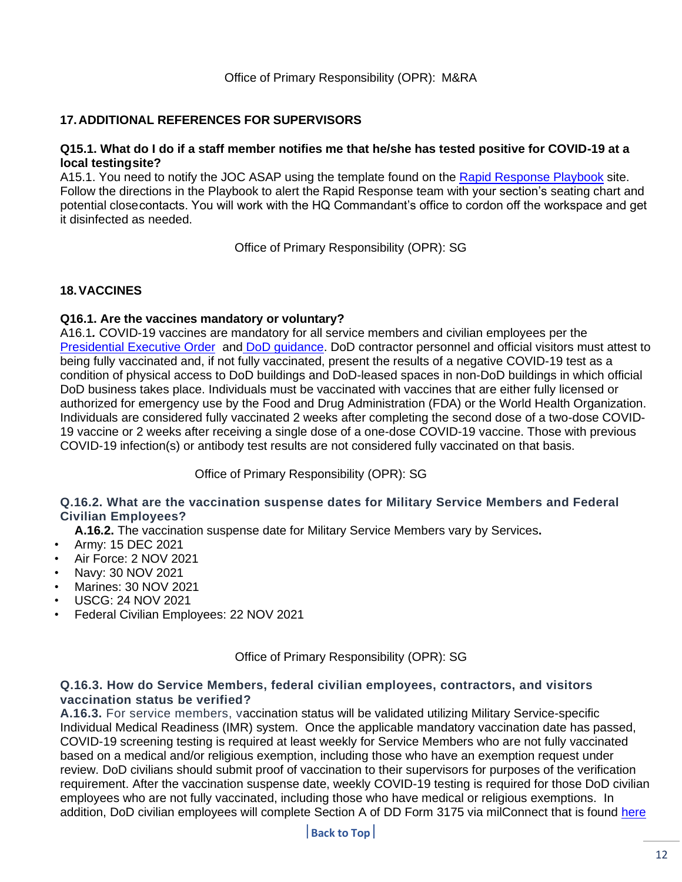## <span id="page-11-0"></span>**17.ADDITIONAL REFERENCES FOR SUPERVISORS**

#### **Q15.1. What do I do if a staff member notifies me that he/she has tested positive for COVID-19 at a local testingsite?**

A15.1. You need to notify the JOC ASAP using the template found on the Rapid [Response](https://intranet.ent.southcom.mil/SitePages/Playbook.aspx) Playbook site. Follow the directions in the Playbook to alert the Rapid Response team with your section's seating chart and potential closecontacts. You will work with the HQ Commandant's office to cordon off the workspace and get it disinfected as needed.

Office of Primary Responsibility (OPR): SG

#### <span id="page-11-1"></span>**18.VACCINES**

#### **Q16.1. Are the vaccines mandatory or voluntary?**

A16.1*.* COVID-19 vaccines are mandatory for all service members and civilian employees per the [Presidential Executive Order](https://www.federalregister.gov/documents/2021/09/14/2021-19927/requiring-coronavirus-disease-2019-vaccination-for-federal-employees) and [DoD guidance.](https://www.defense.gov/News/Releases/Release/Article/2829312/force-health-protection-guidance-supplement-23-revision-2-department-of-defense/) DoD contractor personnel and official visitors must attest to being fully vaccinated and, if not fully vaccinated, present the results of a negative COVID-19 test as a condition of physical access to DoD buildings and DoD-leased spaces in non-DoD buildings in which official DoD business takes place. Individuals must be vaccinated with vaccines that are either fully licensed or authorized for emergency use by the Food and Drug Administration (FDA) or the World Health Organization. Individuals are considered fully vaccinated 2 weeks after completing the second dose of a two-dose COVID-19 vaccine or 2 weeks after receiving a single dose of a one-dose COVID-19 vaccine. Those with previous COVID-19 infection(s) or antibody test results are not considered fully vaccinated on that basis.

Office of Primary Responsibility (OPR): SG

#### **Q.16.2. What are the vaccination suspense dates for Military Service Members and Federal Civilian Employees?**

- **A.16.2.** The vaccination suspense date for Military Service Members vary by Services**.**
- Army: 15 DEC 2021
- Air Force: 2 NOV 2021
- Navy: 30 NOV 2021
- Marines: 30 NOV 2021
- USCG: 24 NOV 2021
- Federal Civilian Employees: 22 NOV 2021

Office of Primary Responsibility (OPR): SG

#### **Q.16.3. How do Service Members, federal civilian employees, contractors, and visitors vaccination status be verified?**

**A.16.3.** For service members, vaccination status will be validated utilizing Military Service-specific Individual Medical Readiness (IMR) system. Once the applicable mandatory vaccination date has passed, COVID-19 screening testing is required at least weekly for Service Members who are not fully vaccinated based on a medical and/or religious exemption, including those who have an exemption request under review. DoD civilians should submit proof of vaccination to their supervisors for purposes of the verification requirement. After the vaccination suspense date, weekly COVID-19 testing is required for those DoD civilian employees who are not fully vaccinated, including those who have medical or religious exemptions. In addition, DoD civilian employees will complete Section A of DD Form 3175 via milConnect that is found [here](https://milconnect.dmdc.osd.mil/milconnect/help/topics/submitting_covid_vaccination_status.htm)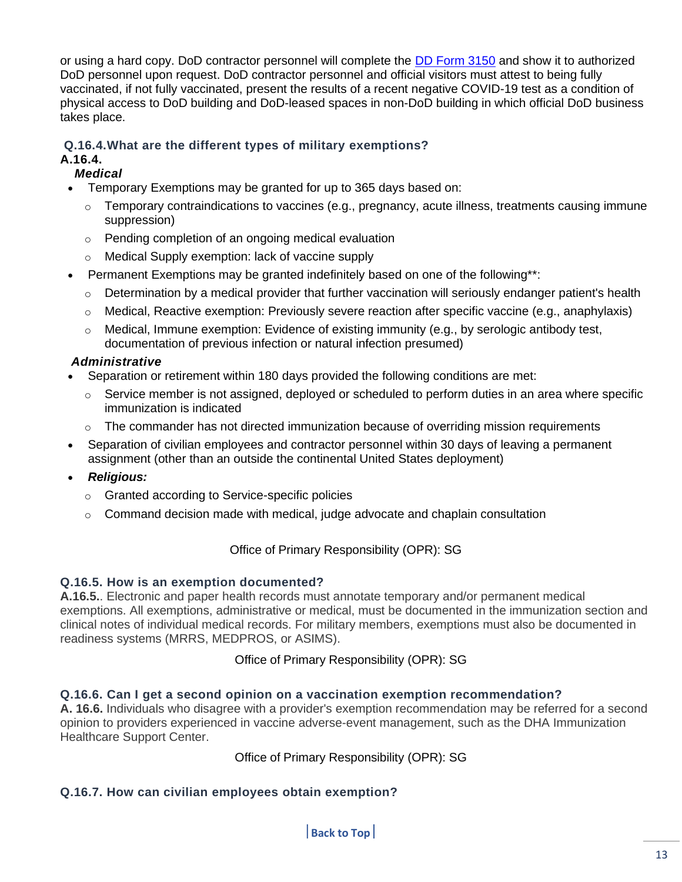or using a hard copy. DoD contractor personnel will complete the [DD Form 3150](https://www.esd.whs.mil/Portals/54/Documents/DD/forms/dd/dd3150.pdf) and show it to authorized DoD personnel upon request. DoD contractor personnel and official visitors must attest to being fully vaccinated, if not fully vaccinated, present the results of a recent negative COVID-19 test as a condition of physical access to DoD building and DoD-leased spaces in non-DoD building in which official DoD business takes place.

# **Q.16.4.What are the different types of military exemptions?**

## **A.16.4.**

## *Medical*

- Temporary Exemptions may be granted for up to 365 days based on:
	- $\circ$  Temporary contraindications to vaccines (e.g., pregnancy, acute illness, treatments causing immune suppression)
	- o Pending completion of an ongoing medical evaluation
	- o Medical Supply exemption: lack of vaccine supply
- Permanent Exemptions may be granted indefinitely based on one of the following\*\*:
	- $\circ$  Determination by a medical provider that further vaccination will seriously endanger patient's health
	- o Medical, Reactive exemption: Previously severe reaction after specific vaccine (e.g., anaphylaxis)
	- o Medical, Immune exemption: Evidence of existing immunity (e.g., by serologic antibody test, documentation of previous infection or natural infection presumed)

## *Administrative*

- Separation or retirement within 180 days provided the following conditions are met:
	- $\circ$  Service member is not assigned, deployed or scheduled to perform duties in an area where specific immunization is indicated
	- $\circ$  The commander has not directed immunization because of overriding mission requirements
- Separation of civilian employees and contractor personnel within 30 days of leaving a permanent assignment (other than an outside the continental United States deployment)

## • *Religious:*

- o Granted according to Service-specific policies
- o Command decision made with medical, judge advocate and chaplain consultation

Office of Primary Responsibility (OPR): SG

## **Q.16.5. How is an exemption documented?**

**A.16.5.**. Electronic and paper health records must annotate temporary and/or permanent medical exemptions. All exemptions, administrative or medical, must be documented in the immunization section and clinical notes of individual medical records. For military members, exemptions must also be documented in readiness systems (MRRS, MEDPROS, or ASIMS).

Office of Primary Responsibility (OPR): SG

## **Q.16.6. Can I get a second opinion on a vaccination exemption recommendation?**

**A. 16.6.** Individuals who disagree with a provider's exemption recommendation may be referred for a second opinion to providers experienced in vaccine adverse-event management, such as the DHA Immunization Healthcare Support Center.

Office of Primary Responsibility (OPR): SG

## **Q.16.7. How can civilian employees obtain exemption?**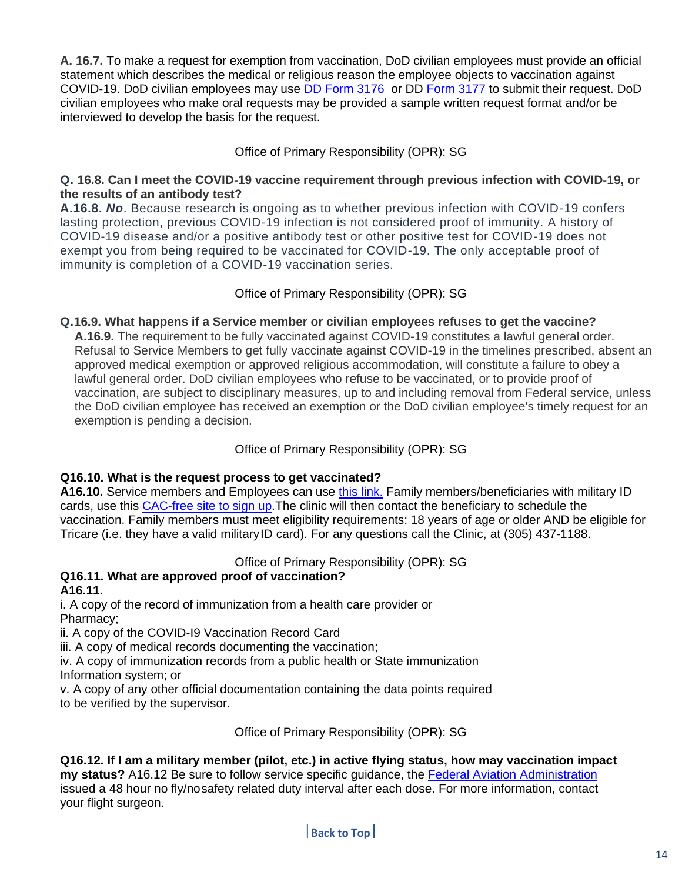**A. 16.7.** To make a request for exemption from vaccination, DoD civilian employees must provide an official statement which describes the medical or religious reason the employee objects to vaccination against COVID-19. DoD civilian employees may use [DD Form 3176](https://www.esd.whs.mil/Portals/54/Documents/DD/forms/dd/dd3176.pdf) or DD [Form 3177](https://www.esd.whs.mil/Portals/54/Documents/DD/forms/dd/dd3177.pdf) to submit their request. DoD civilian employees who make oral requests may be provided a sample written request format and/or be interviewed to develop the basis for the request.

## Office of Primary Responsibility (OPR): SG

## **Q. 16.8. Can I meet the COVID-19 vaccine requirement through previous infection with COVID-19, or the results of an antibody test?**

**A.16.8.** *No*. Because research is ongoing as to whether previous infection with COVID-19 confers lasting protection, previous COVID-19 infection is not considered proof of immunity. A history of COVID-19 disease and/or a positive antibody test or other positive test for COVID-19 does not exempt you from being required to be vaccinated for COVID-19. The only acceptable proof of immunity is completion of a COVID-19 vaccination series.

## Office of Primary Responsibility (OPR): SG

## **Q.16.9. What happens if a Service member or civilian employees refuses to get the vaccine?**

**A.16.9.** The requirement to be fully vaccinated against COVID-19 constitutes a lawful general order. Refusal to Service Members to get fully vaccinate against COVID-19 in the timelines prescribed, absent an approved medical exemption or approved religious accommodation, will constitute a failure to obey a lawful general order. DoD civilian employees who refuse to be vaccinated, or to provide proof of vaccination, are subject to disciplinary measures, up to and including removal from Federal service, unless the DoD civilian employee has received an exemption or the DoD civilian employee's timely request for an exemption is pending a decision.

## Office of Primary Responsibility (OPR): SG

## **Q16.10. What is the request process to get vaccinated?**

**A16.10.** Service members and Employees can use this [link.](https://intelshare.intelink.gov/my.policy) Family members/beneficiaries with military ID cards, use this CAC-free site to sign up.The clinic will then contact the beneficiary to schedule the vaccination. Family members must meet eligibility requirements: 18 years of age or older AND be eligible for Tricare (i.e. they have a valid militaryID card). For any questions call the Clinic, at (305) 437-1188.

Office of Primary Responsibility (OPR): SG

#### **Q16.11. What are approved proof of vaccination? A16.11.**

i. A copy of the record of immunization from a health care provider or Pharmacy;

ii. A copy of the COVID-I9 Vaccination Record Card

iii. A copy of medical records documenting the vaccination;

iv. A copy of immunization records from a public health or State immunization Information system; or

v. A copy of any other official documentation containing the data points required to be verified by the supervisor.

Office of Primary Responsibility (OPR): SG

**Q16.12. If I am a military member (pilot, etc.) in active flying status, how may vaccination impact my status?** A16.12 Be sure to follow service specific guidance, the [Federal Aviation Administration](https://www.faa.gov/other_visit/aviation_industry/designees_delegations/designee_types/ame/) issued a 48 hour no fly/nosafety related duty interval after each dose. For more information, contact your flight surgeon.

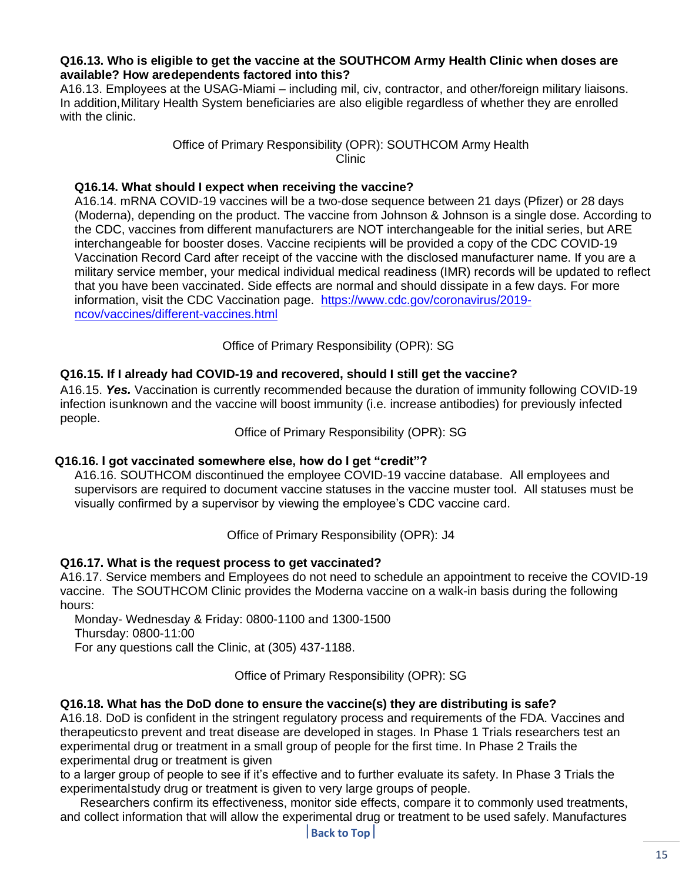#### **Q16.13. Who is eligible to get the vaccine at the SOUTHCOM Army Health Clinic when doses are available? How aredependents factored into this?**

A16.13. Employees at the USAG-Miami – including mil, civ, contractor, and other/foreign military liaisons. In addition,Military Health System beneficiaries are also eligible regardless of whether they are enrolled with the clinic.

## Office of Primary Responsibility (OPR): SOUTHCOM Army Health Clinic

## **Q16.14. What should I expect when receiving the vaccine?**

A16.14. mRNA COVID-19 vaccines will be a two-dose sequence between 21 days (Pfizer) or 28 days (Moderna), depending on the product. The vaccine from Johnson & Johnson is a single dose. According to the CDC, vaccines from different manufacturers are NOT interchangeable for the initial series, but ARE interchangeable for booster doses. Vaccine recipients will be provided a copy of the CDC COVID-19 Vaccination Record Card after receipt of the vaccine with the disclosed manufacturer name. If you are a military service member, your medical individual medical readiness (IMR) records will be updated to reflect that you have been vaccinated. Side effects are normal and should dissipate in a few days. For more information, visit the CDC Vaccination page. [https://www.cdc.gov/coronavirus/2019](https://www.cdc.gov/coronavirus/2019-ncov/vaccines/different-vaccines.html) [ncov/vaccines/different-vaccines.html](https://www.cdc.gov/coronavirus/2019-ncov/vaccines/different-vaccines.html)

Office of Primary Responsibility (OPR): SG

## **Q16.15. If I already had COVID-19 and recovered, should I still get the vaccine?**

A16.15. *Yes.* Vaccination is currently recommended because the duration of immunity following COVID-19 infection isunknown and the vaccine will boost immunity (i.e. increase antibodies) for previously infected people.

Office of Primary Responsibility (OPR): SG

#### **Q16.16. I got vaccinated somewhere else, how do I get "credit"?**

A16.16. SOUTHCOM discontinued the employee COVID-19 vaccine database. All employees and supervisors are required to document vaccine statuses in the vaccine muster tool. All statuses must be visually confirmed by a supervisor by viewing the employee's CDC vaccine card.

Office of Primary Responsibility (OPR): J4

#### **Q16.17. What is the request process to get vaccinated?**

A16.17. Service members and Employees do not need to schedule an appointment to receive the COVID-19 vaccine. The SOUTHCOM Clinic provides the Moderna vaccine on a walk-in basis during the following hours:

Monday- Wednesday & Friday: 0800-1100 and 1300-1500 Thursday: 0800-11:00 For any questions call the Clinic, at (305) 437-1188.

Office of Primary Responsibility (OPR): SG

#### **Q16.18. What has the DoD done to ensure the vaccine(s) they are distributing is safe?**

A16.18. DoD is confident in the stringent regulatory process and requirements of the FDA. Vaccines and therapeuticsto prevent and treat disease are developed in stages. In Phase 1 Trials researchers test an experimental drug or treatment in a small group of people for the first time. In Phase 2 Trails the experimental drug or treatment is given

to a larger group of people to see if it's effective and to further evaluate its safety. In Phase 3 Trials the experimentalstudy drug or treatment is given to very large groups of people.

Researchers confirm its effectiveness, monitor side effects, compare it to commonly used treatments, and collect information that will allow the experimental drug or treatment to be used safely. Manufactures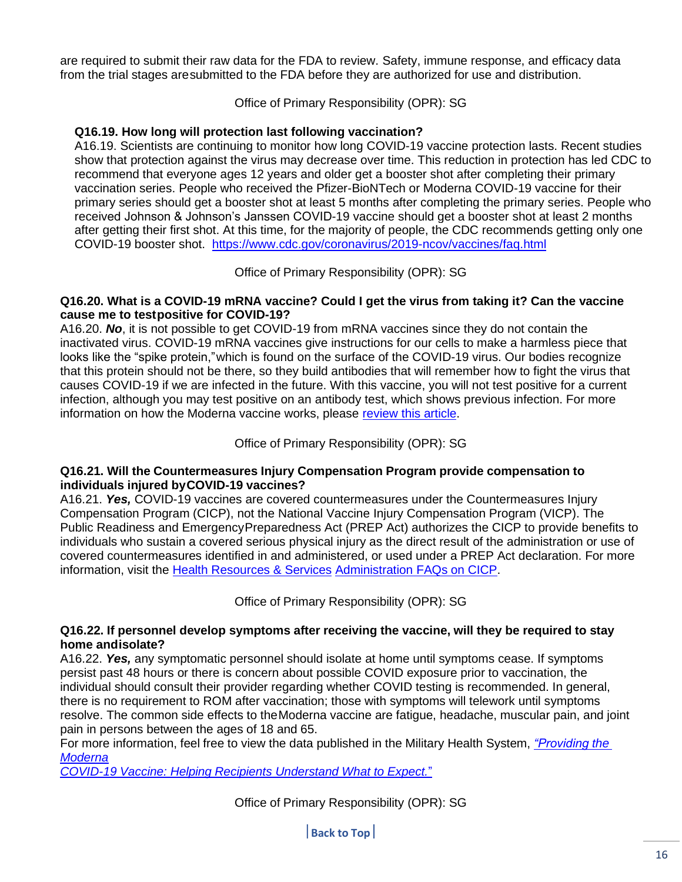are required to submit their raw data for the FDA to review. Safety, immune response, and efficacy data from the trial stages aresubmitted to the FDA before they are authorized for use and distribution.

Office of Primary Responsibility (OPR): SG

## **Q16.19. How long will protection last following vaccination?**

A16.19. Scientists are continuing to monitor how long COVID-19 vaccine protection lasts. Recent studies show that protection against the virus may decrease over time. This reduction in protection has led CDC to recommend that everyone ages 12 years and older get a booster shot after completing their primary vaccination series. People who received the Pfizer-BioNTech or Moderna COVID-19 vaccine for their primary series should get a booster shot at least 5 months after completing the primary series. People who received Johnson & Johnson's Janssen COVID-19 vaccine should get a booster shot at least 2 months after getting their first shot. At this time, for the majority of people, the CDC recommends getting only one COVID-19 booster shot. <https://www.cdc.gov/coronavirus/2019-ncov/vaccines/faq.html>

Office of Primary Responsibility (OPR): SG

#### **Q16.20. What is a COVID-19 mRNA vaccine? Could I get the virus from taking it? Can the vaccine cause me to testpositive for COVID-19?**

A16.20. *No*, it is not possible to get COVID-19 from mRNA vaccines since they do not contain the inactivated virus. COVID-19 mRNA vaccines give instructions for our cells to make a harmless piece that looks like the "spike protein,"which is found on the surface of the COVID-19 virus. Our bodies recognize that this protein should not be there, so they build antibodies that will remember how to fight the virus that causes COVID-19 if we are infected in the future. With this vaccine, you will not test positive for a current infection, although you may test positive on an antibody test, which shows previous infection. For more information on how the Moderna vaccine works, please review this [article.](https://www.nytimes.com/interactive/2020/health/moderna-covid-19-vaccine.html)

Office of Primary Responsibility (OPR): SG

#### **Q16.21. Will the Countermeasures Injury Compensation Program provide compensation to individuals injured byCOVID-19 vaccines?**

A16.21. *Yes,* COVID-19 vaccines are covered countermeasures under the Countermeasures Injury Compensation Program (CICP), not the National Vaccine Injury Compensation Program (VICP). The Public Readiness and EmergencyPreparedness Act (PREP Act) authorizes the CICP to provide benefits to individuals who sustain a covered serious physical injury as the direct result of the administration or use of covered countermeasures identified in and administered, or used under a PREP Act declaration. For more information, visit the [Health Resources & Services](https://www.hrsa.gov/cicp/faq) [Administration](https://www.hrsa.gov/cicp/faq) FAQs on CICP.

Office of Primary Responsibility (OPR): SG

#### **Q16.22. If personnel develop symptoms after receiving the vaccine, will they be required to stay home andisolate?**

A16.22. *Yes,* any symptomatic personnel should isolate at home until symptoms cease. If symptoms persist past 48 hours or there is concern about possible COVID exposure prior to vaccination, the individual should consult their provider regarding whether COVID testing is recommended. In general, there is no requirement to ROM after vaccination; those with symptoms will telework until symptoms resolve. The common side effects to theModerna vaccine are fatigue, headache, muscular pain, and joint pain in persons between the ages of 18 and 65.

For more information, feel free to view the data published in the Military Health System, *["Providing](https://health.mil/military-health-topics/health-readiness/immunization-healthcare/ihd-covid-19-vaccine-resource-center-for-health-care-personnel#ModernaAdmin) the [Moderna](https://health.mil/military-health-topics/health-readiness/immunization-healthcare/ihd-covid-19-vaccine-resource-center-for-health-care-personnel#ModernaAdmin)*

*COVID-19 Vaccine: Helping Recipients [Understand](https://health.mil/military-health-topics/health-readiness/immunization-healthcare/ihd-covid-19-vaccine-resource-center-for-health-care-personnel#ModernaAdmin) What to Expect.*"

Office of Primary Responsibility (OPR): SG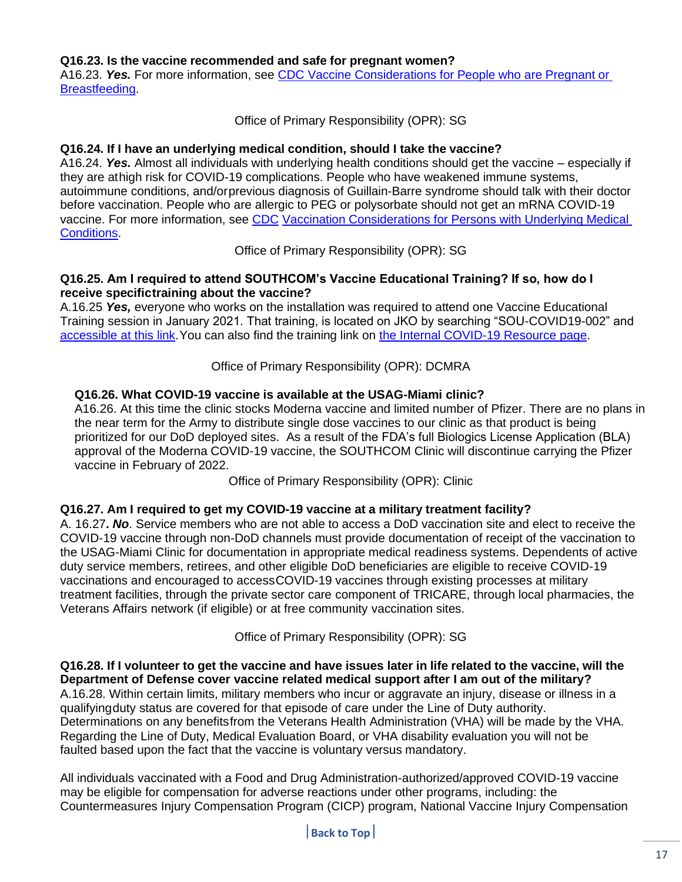#### **Q16.23. Is the vaccine recommended and safe for pregnant women?**

A16.23. *Yes.* For more information, see CDC Vaccine [Considerations](https://www.cdc.gov/coronavirus/2019-ncov/vaccines/recommendations/pregnancy.html#%3A~%3Atext%3DRoutine%20testing%20and%20pregnancy%2Can%20mRNA%20COVID%2D19%20vaccine) for People who are Pregnant or [Breastfeeding.](https://www.cdc.gov/coronavirus/2019-ncov/vaccines/recommendations/pregnancy.html#%3A~%3Atext%3DRoutine%20testing%20and%20pregnancy%2Can%20mRNA%20COVID%2D19%20vaccine)

Office of Primary Responsibility (OPR): SG

#### **Q16.24. If I have an underlying medical condition, should I take the vaccine?**

A16.24. *Yes.* Almost all individuals with underlying health conditions should get the vaccine – especially if they are athigh risk for COVID-19 complications. People who have weakened immune systems, autoimmune conditions, and/orprevious diagnosis of Guillain-Barre syndrome should talk with their doctor before vaccination. People who are allergic to PEG or polysorbate should not get an mRNA COVID-19 vaccine. For more information, see [CDC](https://www.cdc.gov/coronavirus/2019-ncov/vaccines/recommendations/underlying-conditions.html) Vaccination Considerations for Persons [with Underlying](https://www.cdc.gov/coronavirus/2019-ncov/vaccines/recommendations/underlying-conditions.html) Medical **Conditions** 

Office of Primary Responsibility (OPR): SG

#### **Q16.25. Am I required to attend SOUTHCOM's Vaccine Educational Training? If so, how do I receive specifictraining about the vaccine?**

A.16.25 *Yes,* everyone who works on the installation was required to attend one Vaccine Educational Training session in January 2021. That training, is located on JKO by searching "SOU-COVID19-002" and [accessible at this link.](https://jkodirect.jten.mil/html/COI.xhtml?course_prefix=SOU&course_number=-COVID19-002)You can also find the training link on the Internal [COVID-19](https://intranet.ent.southcom.mil/SitePages/Coronavirus.aspx) Resource page.

#### Office of Primary Responsibility (OPR): DCMRA

#### **Q16.26. What COVID-19 vaccine is available at the USAG-Miami clinic?**

A16.26. At this time the clinic stocks Moderna vaccine and limited number of Pfizer. There are no plans in the near term for the Army to distribute single dose vaccines to our clinic as that product is being prioritized for our DoD deployed sites. As a result of the FDA's full Biologics License Application (BLA) approval of the Moderna COVID-19 vaccine, the SOUTHCOM Clinic will discontinue carrying the Pfizer vaccine in February of 2022.

Office of Primary Responsibility (OPR): Clinic

#### **Q16.27. Am I required to get my COVID-19 vaccine at a military treatment facility?**

A. 16.27**.** *No*. Service members who are not able to access a DoD vaccination site and elect to receive the COVID-19 vaccine through non-DoD channels must provide documentation of receipt of the vaccination to the USAG-Miami Clinic for documentation in appropriate medical readiness systems. Dependents of active duty service members, retirees, and other eligible DoD beneficiaries are eligible to receive COVID-19 vaccinations and encouraged to accessCOVID-19 vaccines through existing processes at military treatment facilities, through the private sector care component of TRICARE, through local pharmacies, the Veterans Affairs network (if eligible) or at free community vaccination sites.

Office of Primary Responsibility (OPR): SG

Q16.28. If I volunteer to get the vaccine and have issues later in life related to the vaccine, will the **Department of Defense cover vaccine related medical support after I am out of the military?** A.16.28. Within certain limits, military members who incur or aggravate an injury, disease or illness in a qualifyingduty status are covered for that episode of care under the Line of Duty authority. Determinations on any benefitsfrom the Veterans Health Administration (VHA) will be made by the VHA. Regarding the Line of Duty, Medical Evaluation Board, or VHA disability evaluation you will not be faulted based upon the fact that the vaccine is voluntary versus mandatory.

All individuals vaccinated with a Food and Drug Administration-authorized/approved COVID-19 vaccine may be eligible for compensation for adverse reactions under other programs, including: the Countermeasures Injury Compensation Program (CICP) program, National Vaccine Injury Compensation